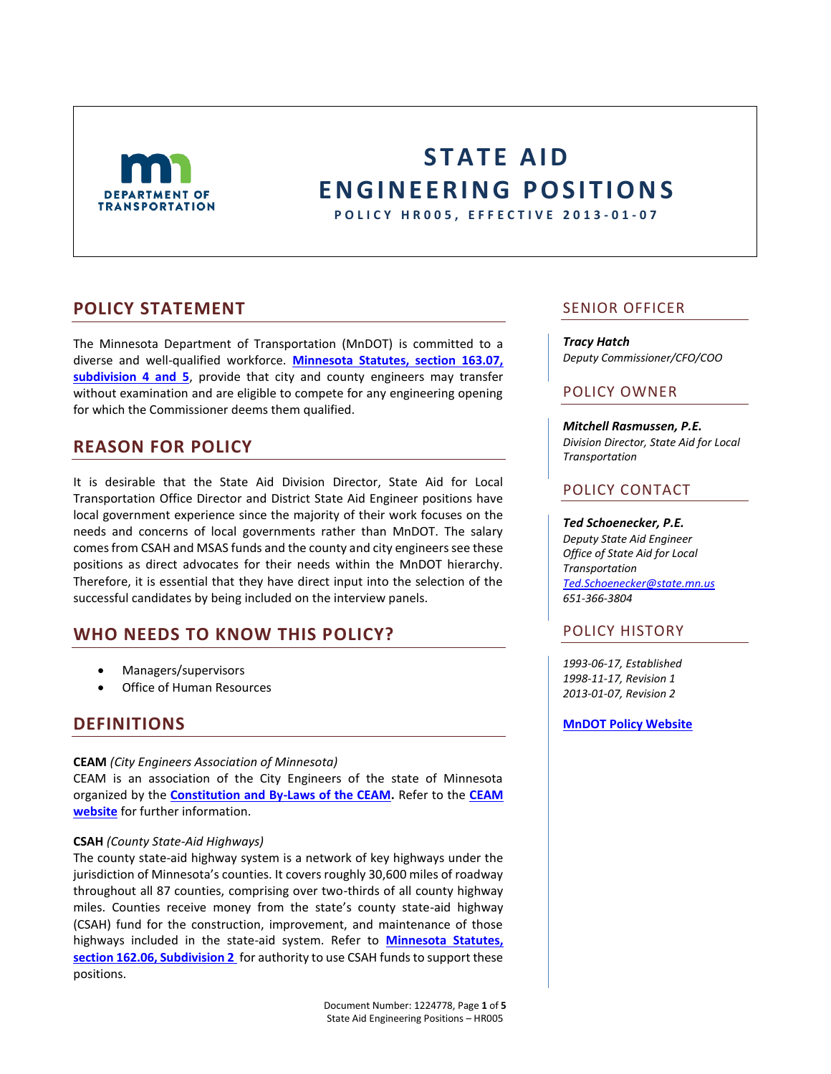

# **STATE AID E N G I N E E R I N G P O S I T I O NS**

**P O L I C Y H R 0 0 5 , E F F E C T I V E 2013 - 0 1 - 0 7**

# **POLICY STATEMENT**

The Minnesota Department of Transportation (MnDOT) is committed to a diverse and well-qualified workforce. **[Minnesota Statutes, section 163.07,](https://www.revisor.mn.gov/statutes/?id=163.07)  [subdivision 4 and 5](https://www.revisor.mn.gov/statutes/?id=163.07)**, provide that city and county engineers may transfer without examination and are eligible to compete for any engineering opening for which the Commissioner deems them qualified.

# **REASON FOR POLICY**

It is desirable that the State Aid Division Director, State Aid for Local Transportation Office Director and District State Aid Engineer positions have local government experience since the majority of their work focuses on the needs and concerns of local governments rather than MnDOT. The salary comes from CSAH and MSAS funds and the county and city engineers see these positions as direct advocates for their needs within the MnDOT hierarchy. Therefore, it is essential that they have direct input into the selection of the successful candidates by being included on the interview panels.

# **WHO NEEDS TO KNOW THIS POLICY?**

- Managers/supervisors
- Office of Human Resources

# **DEFINITIONS**

## **CEAM** *(City Engineers Association of Minnesota)*

CEAM is an association of the City Engineers of the state of Minnesota organized by the **[Constitution and By-Laws of the CEAM.](http://www.ceam.org/vertical/Sites/%7BD96B0887-4D81-47D5-AA86-9D2FB8BC0796%7D/uploads/CEAM_By-Laws_-_Amended_08-05-2011.pdf)** Refer to the **[CEAM](http://www.ceam.org/)  [website](http://www.ceam.org/)** for further information.

## **CSAH** *(County State-Aid Highways)*

The county state-aid highway system is a network of key highways under the jurisdiction of Minnesota's counties. It covers roughly 30,600 miles of roadway throughout all 87 counties, comprising over two-thirds of all county highway miles. Counties receive money from the state's county state-aid highway (CSAH) fund for the construction, improvement, and maintenance of those highways included in the state-aid system. Refer to **[Minnesota Statutes,](https://www.revisor.mn.gov/statutes/?id=162.06)  [section 162.06, Subdivision 2](https://www.revisor.mn.gov/statutes/?id=162.06)** for authority to use CSAH funds to support these positions.

# SENIOR OFFICER

#### *Tracy Hatch*

*Deputy Commissioner/CFO/COO*

# POLICY OWNER

*Mitchell Rasmussen, P.E. Division Director, State Aid for Local Transportation*

# POLICY CONTACT

### *Ted Schoenecker, P.E.*

*Deputy State Aid Engineer Office of State Aid for Local Transportation [Ted.Schoenecker@state.mn.us](mailto:Ted.schoenecker@state.mn.us) 651-366-3804*

# POLICY HISTORY

*1993-06-17, Established 1998-11-17, Revision 1 2013-01-07, Revision 2*

#### **[MnDOT Policy Website](http://www.dot.state.mn.us/policy/index.html)**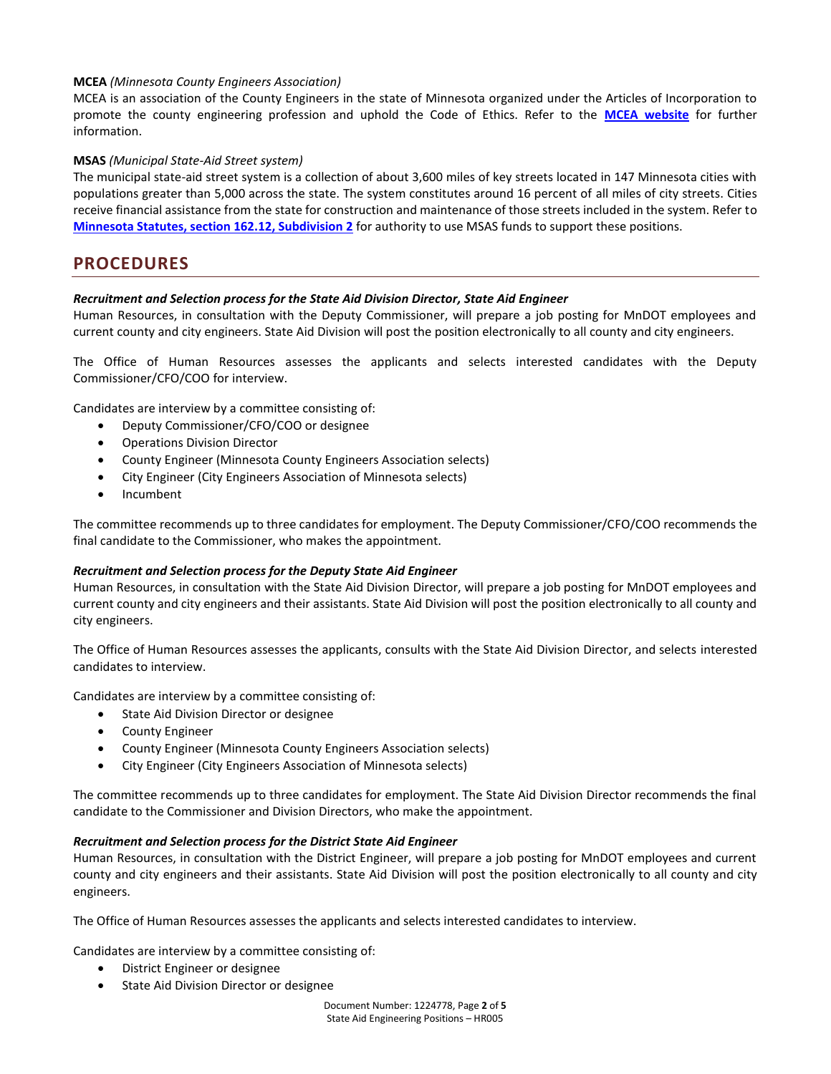## **MCEA** *(Minnesota County Engineers Association)*

MCEA is an association of the County Engineers in the state of Minnesota organized under the Articles of Incorporation to promote the county engineering profession and uphold the Code of Ethics. Refer to the **[MCEA website](http://www.mncountyengineers.org/about-the-mcea/)** for further information.

## **MSAS** *(Municipal State-Aid Street system)*

The municipal state-aid street system is a collection of about 3,600 miles of key streets located in 147 Minnesota cities with populations greater than 5,000 across the state. The system constitutes around 16 percent of all miles of city streets. Cities receive financial assistance from the state for construction and maintenance of those streets included in the system. Refer to **[Minnesota Statutes, section 162.12, Subdivision 2](https://www.revisor.mn.gov/statutes/?id=162.12)** for authority to use MSAS funds to support these positions.

# **PROCEDURES**

## *Recruitment and Selection process for the State Aid Division Director, State Aid Engineer*

Human Resources, in consultation with the Deputy Commissioner, will prepare a job posting for MnDOT employees and current county and city engineers. State Aid Division will post the position electronically to all county and city engineers.

The Office of Human Resources assesses the applicants and selects interested candidates with the Deputy Commissioner/CFO/COO for interview.

Candidates are interview by a committee consisting of:

- Deputy Commissioner/CFO/COO or designee
- Operations Division Director
- County Engineer (Minnesota County Engineers Association selects)
- City Engineer (City Engineers Association of Minnesota selects)
- Incumbent

The committee recommends up to three candidates for employment. The Deputy Commissioner/CFO/COO recommends the final candidate to the Commissioner, who makes the appointment.

## *Recruitment and Selection process for the Deputy State Aid Engineer*

Human Resources, in consultation with the State Aid Division Director, will prepare a job posting for MnDOT employees and current county and city engineers and their assistants. State Aid Division will post the position electronically to all county and city engineers.

The Office of Human Resources assesses the applicants, consults with the State Aid Division Director, and selects interested candidates to interview.

Candidates are interview by a committee consisting of:

- **•** State Aid Division Director or designee
- County Engineer
- County Engineer (Minnesota County Engineers Association selects)
- City Engineer (City Engineers Association of Minnesota selects)

The committee recommends up to three candidates for employment. The State Aid Division Director recommends the final candidate to the Commissioner and Division Directors, who make the appointment.

#### *Recruitment and Selection process for the District State Aid Engineer*

Human Resources, in consultation with the District Engineer, will prepare a job posting for MnDOT employees and current county and city engineers and their assistants. State Aid Division will post the position electronically to all county and city engineers.

The Office of Human Resources assesses the applicants and selects interested candidates to interview.

Candidates are interview by a committee consisting of:

- District Engineer or designee
- State Aid Division Director or designee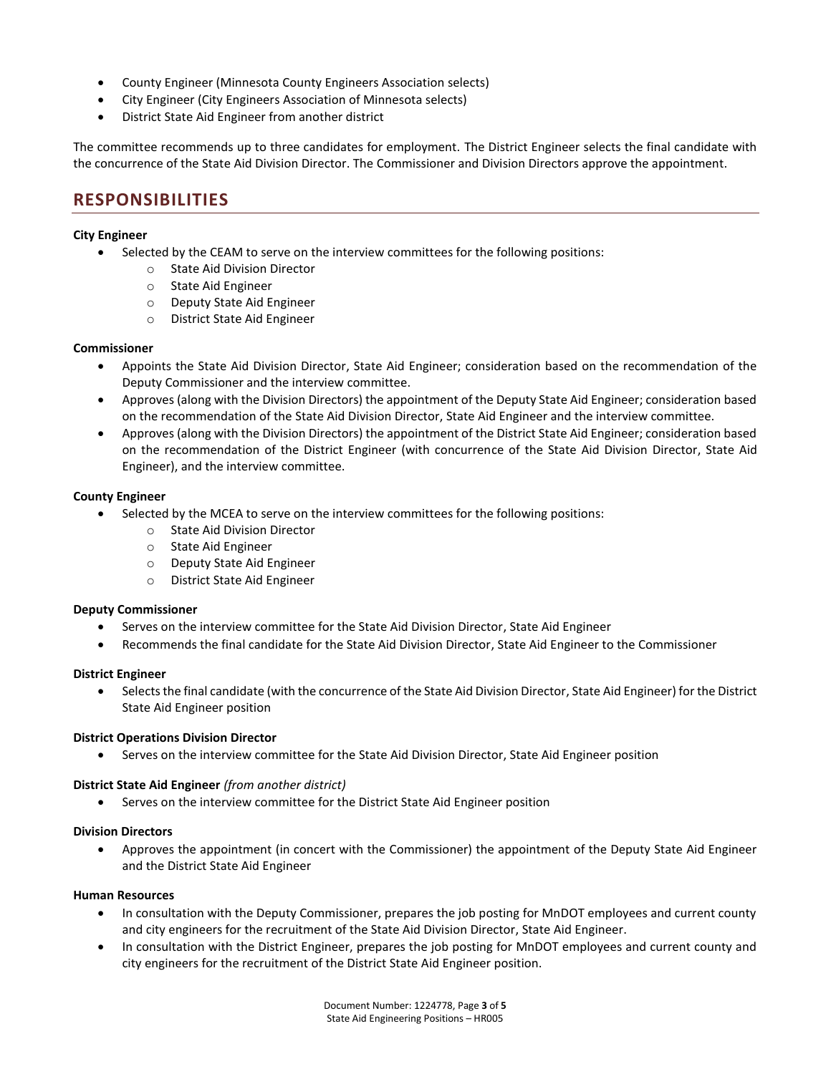- County Engineer (Minnesota County Engineers Association selects)
- City Engineer (City Engineers Association of Minnesota selects)
- District State Aid Engineer from another district

The committee recommends up to three candidates for employment. The District Engineer selects the final candidate with the concurrence of the State Aid Division Director. The Commissioner and Division Directors approve the appointment.

# **RESPONSIBILITIES**

### **City Engineer**

- Selected by the CEAM to serve on the interview committees for the following positions:
	- o State Aid Division Director
	- o State Aid Engineer
	- o Deputy State Aid Engineer
	- o District State Aid Engineer

### **Commissioner**

- Appoints the State Aid Division Director, State Aid Engineer; consideration based on the recommendation of the Deputy Commissioner and the interview committee.
- Approves (along with the Division Directors) the appointment of the Deputy State Aid Engineer; consideration based on the recommendation of the State Aid Division Director, State Aid Engineer and the interview committee.
- Approves (along with the Division Directors) the appointment of the District State Aid Engineer; consideration based on the recommendation of the District Engineer (with concurrence of the State Aid Division Director, State Aid Engineer), and the interview committee.

### **County Engineer**

- Selected by the MCEA to serve on the interview committees for the following positions:
	- o State Aid Division Director
		- o State Aid Engineer
	- o Deputy State Aid Engineer
	- o District State Aid Engineer

#### **Deputy Commissioner**

- Serves on the interview committee for the State Aid Division Director, State Aid Engineer
- Recommends the final candidate for the State Aid Division Director, State Aid Engineer to the Commissioner

#### **District Engineer**

 Selects the final candidate (with the concurrence of the State Aid Division Director, State Aid Engineer) for the District State Aid Engineer position

#### **District Operations Division Director**

Serves on the interview committee for the State Aid Division Director, State Aid Engineer position

#### **District State Aid Engineer** *(from another district)*

Serves on the interview committee for the District State Aid Engineer position

#### **Division Directors**

 Approves the appointment (in concert with the Commissioner) the appointment of the Deputy State Aid Engineer and the District State Aid Engineer

## **Human Resources**

- In consultation with the Deputy Commissioner, prepares the job posting for MnDOT employees and current county and city engineers for the recruitment of the State Aid Division Director, State Aid Engineer.
- In consultation with the District Engineer, prepares the job posting for MnDOT employees and current county and city engineers for the recruitment of the District State Aid Engineer position.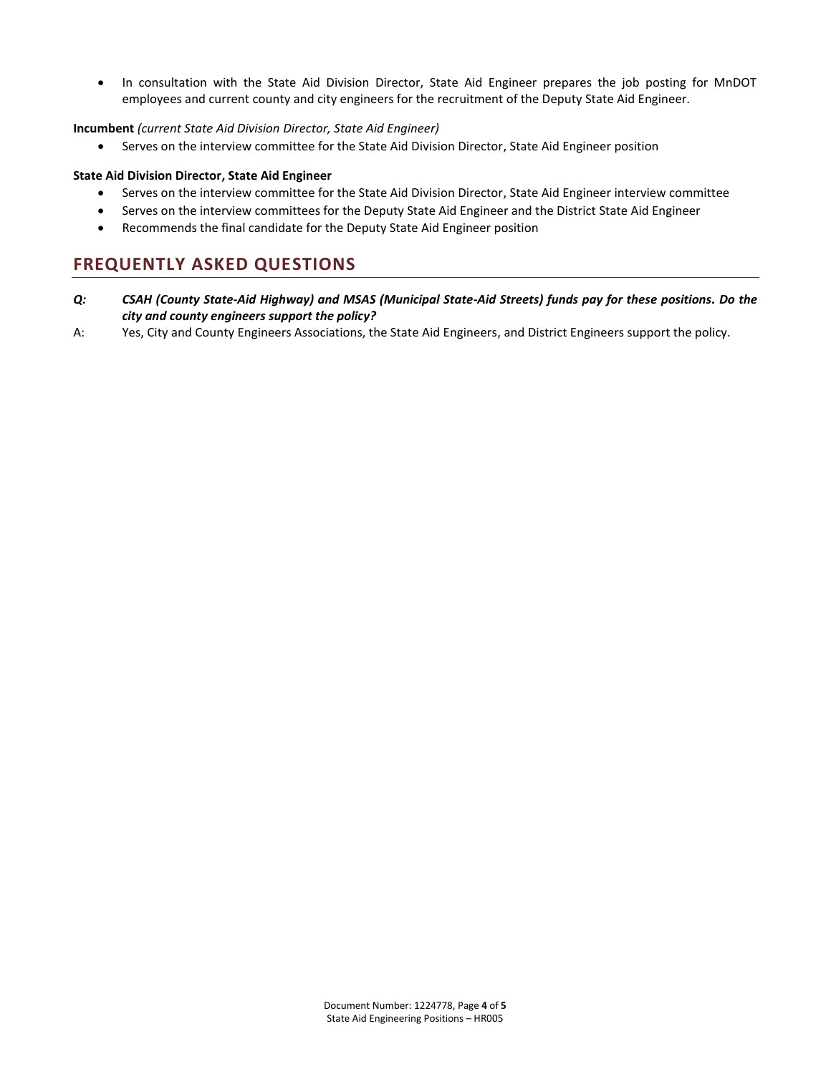• In consultation with the State Aid Division Director, State Aid Engineer prepares the job posting for MnDOT employees and current county and city engineers for the recruitment of the Deputy State Aid Engineer.

## **Incumbent** *(current State Aid Division Director, State Aid Engineer)*

Serves on the interview committee for the State Aid Division Director, State Aid Engineer position

### **State Aid Division Director, State Aid Engineer**

- Serves on the interview committee for the State Aid Division Director, State Aid Engineer interview committee
- Serves on the interview committees for the Deputy State Aid Engineer and the District State Aid Engineer
- Recommends the final candidate for the Deputy State Aid Engineer position

# **FREQUENTLY ASKED QUESTIONS**

- *Q: CSAH (County State-Aid Highway) and MSAS (Municipal State-Aid Streets) funds pay for these positions. Do the city and county engineers support the policy?*
- A: Yes, City and County Engineers Associations, the State Aid Engineers, and District Engineers support the policy.